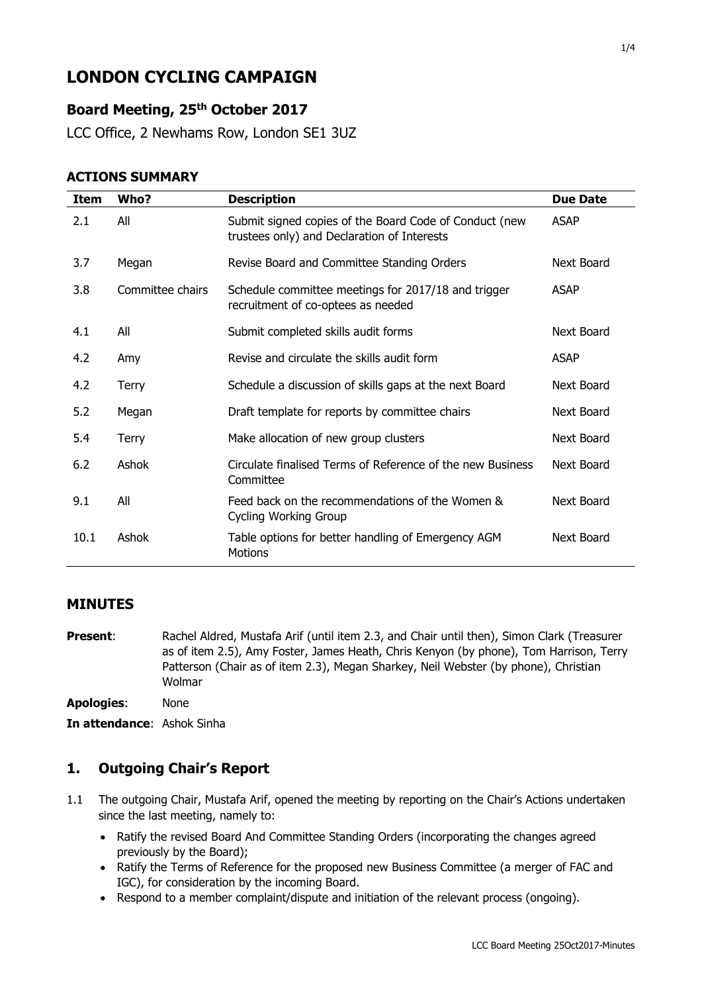# **LONDON CYCLING CAMPAIGN**

# **Board Meeting, 25 th October 2017**

LCC Office, 2 Newhams Row, London SE1 3UZ

#### **ACTIONS SUMMARY**

| Item | Who?             | <b>Description</b>                                                                                    | <b>Due Date</b> |
|------|------------------|-------------------------------------------------------------------------------------------------------|-----------------|
| 2.1  | All              | Submit signed copies of the Board Code of Conduct (new<br>trustees only) and Declaration of Interests | <b>ASAP</b>     |
| 3.7  | Megan            | Revise Board and Committee Standing Orders                                                            | Next Board      |
| 3.8  | Committee chairs | Schedule committee meetings for 2017/18 and trigger<br>recruitment of co-optees as needed             | <b>ASAP</b>     |
| 4.1  | All              | Submit completed skills audit forms                                                                   | Next Board      |
| 4.2  | Amy              | Revise and circulate the skills audit form                                                            | <b>ASAP</b>     |
| 4.2  | <b>Terry</b>     | Schedule a discussion of skills gaps at the next Board                                                | Next Board      |
| 5.2  | Megan            | Draft template for reports by committee chairs                                                        | Next Board      |
| 5.4  | <b>Terry</b>     | Make allocation of new group clusters                                                                 | Next Board      |
| 6.2  | Ashok            | Circulate finalised Terms of Reference of the new Business<br>Committee                               | Next Board      |
| 9.1  | All              | Feed back on the recommendations of the Women &<br><b>Cycling Working Group</b>                       | Next Board      |
| 10.1 | Ashok            | Table options for better handling of Emergency AGM<br><b>Motions</b>                                  | Next Board      |

#### **MINUTES**

**Present:** Rachel Aldred, Mustafa Arif (until item 2.3, and Chair until then), Simon Clark (Treasurer as of item 2.5), Amy Foster, James Heath, Chris Kenyon (by phone), Tom Harrison, Terry Patterson (Chair as of item 2.3), Megan Sharkey, Neil Webster (by phone), Christian Wolmar

**Apologies**: None

**In attendance**: Ashok Sinha

# **1. Outgoing Chair's Report**

- 1.1 The outgoing Chair, Mustafa Arif, opened the meeting by reporting on the Chair's Actions undertaken since the last meeting, namely to:
	- Ratify the revised Board And Committee Standing Orders (incorporating the changes agreed previously by the Board);
	- Ratify the Terms of Reference for the proposed new Business Committee (a merger of FAC and IGC), for consideration by the incoming Board.
	- Respond to a member complaint/dispute and initiation of the relevant process (ongoing).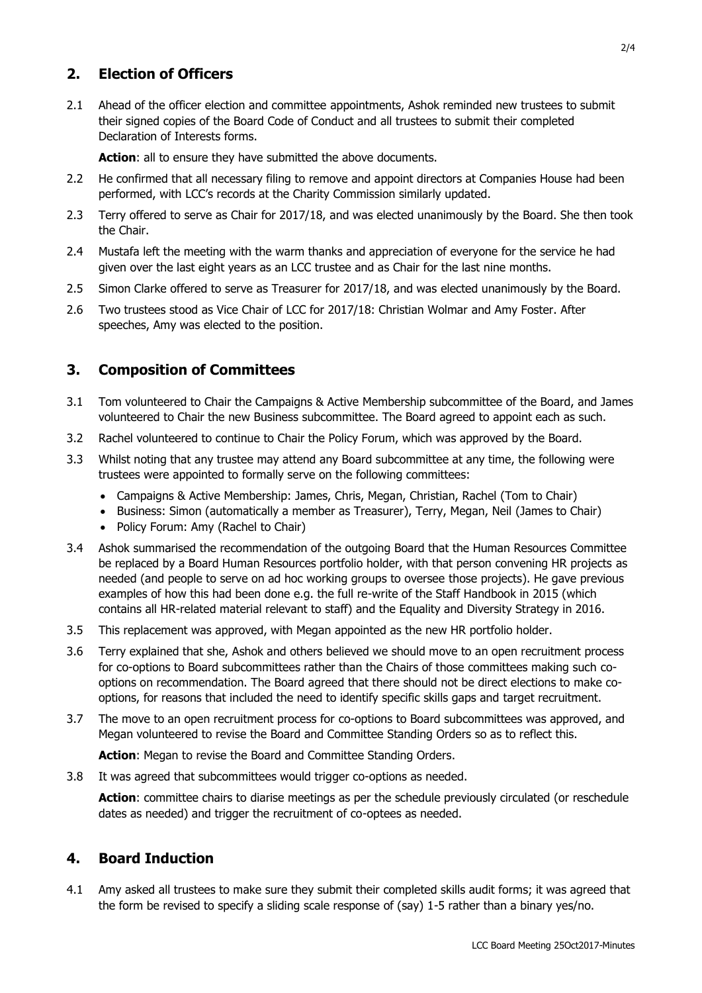# **2. Election of Officers**

2.1 Ahead of the officer election and committee appointments, Ashok reminded new trustees to submit their signed copies of the Board Code of Conduct and all trustees to submit their completed Declaration of Interests forms.

**Action**: all to ensure they have submitted the above documents.

- 2.2 He confirmed that all necessary filing to remove and appoint directors at Companies House had been performed, with LCC's records at the Charity Commission similarly updated.
- 2.3 Terry offered to serve as Chair for 2017/18, and was elected unanimously by the Board. She then took the Chair.
- 2.4 Mustafa left the meeting with the warm thanks and appreciation of everyone for the service he had given over the last eight years as an LCC trustee and as Chair for the last nine months.
- 2.5 Simon Clarke offered to serve as Treasurer for 2017/18, and was elected unanimously by the Board.
- 2.6 Two trustees stood as Vice Chair of LCC for 2017/18: Christian Wolmar and Amy Foster. After speeches, Amy was elected to the position.

## **3. Composition of Committees**

- 3.1 Tom volunteered to Chair the Campaigns & Active Membership subcommittee of the Board, and James volunteered to Chair the new Business subcommittee. The Board agreed to appoint each as such.
- 3.2 Rachel volunteered to continue to Chair the Policy Forum, which was approved by the Board.
- 3.3 Whilst noting that any trustee may attend any Board subcommittee at any time, the following were trustees were appointed to formally serve on the following committees:
	- Campaigns & Active Membership: James, Chris, Megan, Christian, Rachel (Tom to Chair)
	- Business: Simon (automatically a member as Treasurer), Terry, Megan, Neil (James to Chair)
	- Policy Forum: Amy (Rachel to Chair)
- 3.4 Ashok summarised the recommendation of the outgoing Board that the Human Resources Committee be replaced by a Board Human Resources portfolio holder, with that person convening HR projects as needed (and people to serve on ad hoc working groups to oversee those projects). He gave previous examples of how this had been done e.g. the full re-write of the Staff Handbook in 2015 (which contains all HR-related material relevant to staff) and the Equality and Diversity Strategy in 2016.
- 3.5 This replacement was approved, with Megan appointed as the new HR portfolio holder.
- 3.6 Terry explained that she, Ashok and others believed we should move to an open recruitment process for co-options to Board subcommittees rather than the Chairs of those committees making such cooptions on recommendation. The Board agreed that there should not be direct elections to make cooptions, for reasons that included the need to identify specific skills gaps and target recruitment.
- 3.7 The move to an open recruitment process for co-options to Board subcommittees was approved, and Megan volunteered to revise the Board and Committee Standing Orders so as to reflect this.

**Action**: Megan to revise the Board and Committee Standing Orders.

3.8 It was agreed that subcommittees would trigger co-options as needed.

**Action**: committee chairs to diarise meetings as per the schedule previously circulated (or reschedule dates as needed) and trigger the recruitment of co-optees as needed.

#### **4. Board Induction**

4.1 Amy asked all trustees to make sure they submit their completed skills audit forms; it was agreed that the form be revised to specify a sliding scale response of (say) 1-5 rather than a binary yes/no.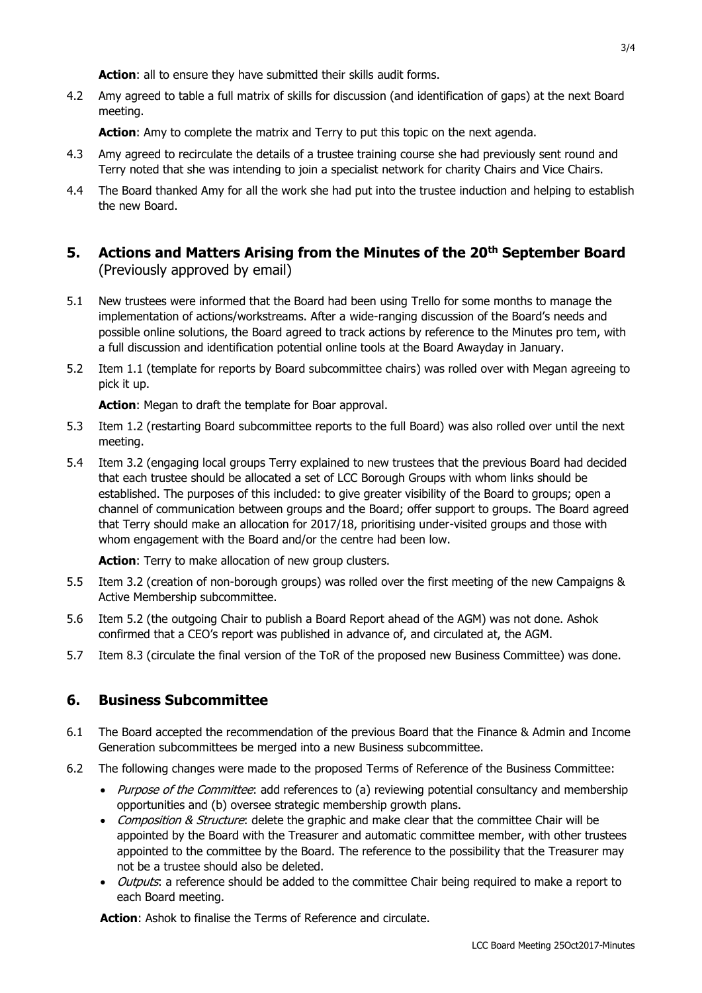**Action**: all to ensure they have submitted their skills audit forms.

4.2 Amy agreed to table a full matrix of skills for discussion (and identification of gaps) at the next Board meeting.

Action: Amy to complete the matrix and Terry to put this topic on the next agenda.

- 4.3 Amy agreed to recirculate the details of a trustee training course she had previously sent round and Terry noted that she was intending to join a specialist network for charity Chairs and Vice Chairs.
- 4.4 The Board thanked Amy for all the work she had put into the trustee induction and helping to establish the new Board.
- **5. Actions and Matters Arising from the Minutes of the 20th September Board**  (Previously approved by email)
- 5.1 New trustees were informed that the Board had been using Trello for some months to manage the implementation of actions/workstreams. After a wide-ranging discussion of the Board's needs and possible online solutions, the Board agreed to track actions by reference to the Minutes pro tem, with a full discussion and identification potential online tools at the Board Awayday in January.
- 5.2 Item 1.1 (template for reports by Board subcommittee chairs) was rolled over with Megan agreeing to pick it up.

**Action**: Megan to draft the template for Boar approval.

- 5.3 Item 1.2 (restarting Board subcommittee reports to the full Board) was also rolled over until the next meeting.
- 5.4 Item 3.2 (engaging local groups Terry explained to new trustees that the previous Board had decided that each trustee should be allocated a set of LCC Borough Groups with whom links should be established. The purposes of this included: to give greater visibility of the Board to groups; open a channel of communication between groups and the Board; offer support to groups. The Board agreed that Terry should make an allocation for 2017/18, prioritising under-visited groups and those with whom engagement with the Board and/or the centre had been low.

**Action**: Terry to make allocation of new group clusters.

- 5.5 Item 3.2 (creation of non-borough groups) was rolled over the first meeting of the new Campaigns & Active Membership subcommittee.
- 5.6 Item 5.2 (the outgoing Chair to publish a Board Report ahead of the AGM) was not done. Ashok confirmed that a CEO's report was published in advance of, and circulated at, the AGM.
- 5.7 Item 8.3 (circulate the final version of the ToR of the proposed new Business Committee) was done.

#### **6. Business Subcommittee**

- 6.1 The Board accepted the recommendation of the previous Board that the Finance & Admin and Income Generation subcommittees be merged into a new Business subcommittee.
- 6.2 The following changes were made to the proposed Terms of Reference of the Business Committee:
	- Purpose of the Committee: add references to (a) reviewing potential consultancy and membership opportunities and (b) oversee strategic membership growth plans.
	- Composition & Structure: delete the graphic and make clear that the committee Chair will be appointed by the Board with the Treasurer and automatic committee member, with other trustees appointed to the committee by the Board. The reference to the possibility that the Treasurer may not be a trustee should also be deleted.
	- *Outputs*: a reference should be added to the committee Chair being required to make a report to each Board meeting.

**Action**: Ashok to finalise the Terms of Reference and circulate.